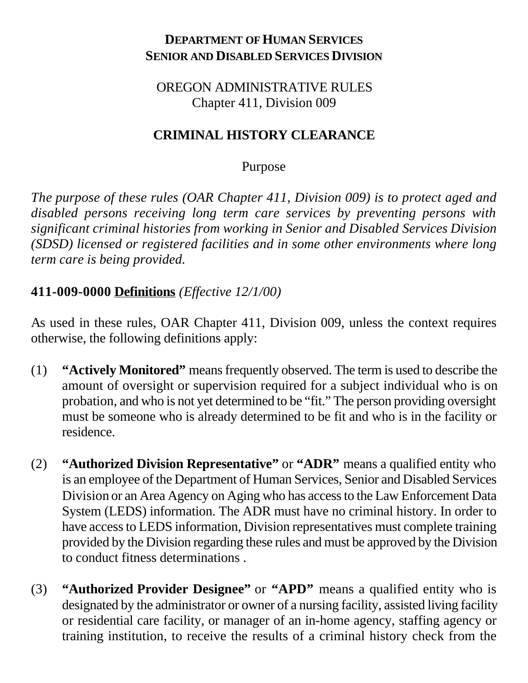#### **DEPARTMENT OF HUMAN SERVICES SENIOR AND DISABLED SERVICES DIVISION**

#### OREGON ADMINISTRATIVE RULES Chapter 411, Division 009

#### **CRIMINAL HISTORY CLEARANCE**

#### Purpose

*The purpose of these rules (OAR Chapter 411, Division 009) is to protect aged and disabled persons receiving long term care services by preventing persons with significant criminal histories from working in Senior and Disabled Services Division (SDSD) licensed or registered facilities and in some other environments where long term care is being provided.*

### **411-009-0000 Definitions** *(Effective 12/1/00)*

As used in these rules, OAR Chapter 411, Division 009, unless the context requires otherwise, the following definitions apply:

- (1) **"Actively Monitored"** means frequently observed. The term is used to describe the amount of oversight or supervision required for a subject individual who is on probation, and who is not yet determined to be "fit." The person providing oversight must be someone who is already determined to be fit and who is in the facility or residence.
- (2) **"Authorized Division Representative"** or **"ADR"** means a qualified entity who is an employee of the Department of Human Services, Senior and Disabled Services Division or an Area Agency on Aging who has access to the Law Enforcement Data System (LEDS) information. The ADR must have no criminal history. In order to have access to LEDS information, Division representatives must complete training provided by the Division regarding these rules and must be approved by the Division to conduct fitness determinations .
- (3) **"Authorized Provider Designee"** or **"APD"** means a qualified entity who is designated by the administrator or owner of a nursing facility, assisted living facility or residential care facility, or manager of an in-home agency, staffing agency or training institution, to receive the results of a criminal history check from the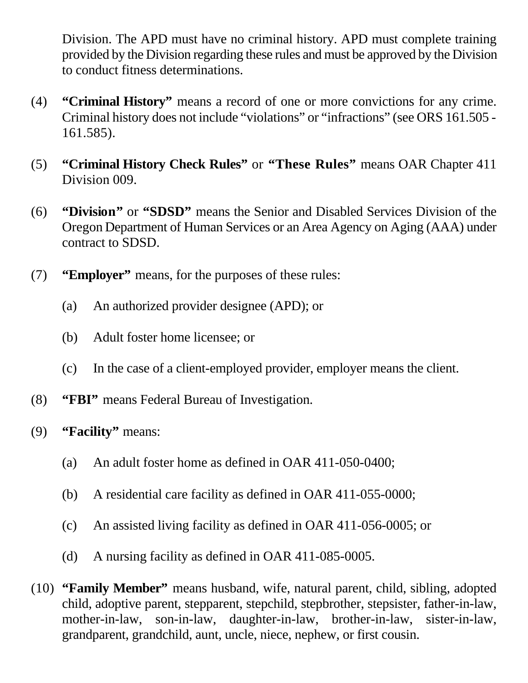Division. The APD must have no criminal history. APD must complete training provided by the Division regarding these rules and must be approved by the Division to conduct fitness determinations.

- (4) **"Criminal History"** means a record of one or more convictions for any crime. Criminal history does not include "violations" or "infractions" (see ORS 161.505 - 161.585).
- (5) **"Criminal History Check Rules"** or **"These Rules"** means OAR Chapter 411 Division 009.
- (6) **"Division"** or **"SDSD"** means the Senior and Disabled Services Division of the Oregon Department of Human Services or an Area Agency on Aging (AAA) under contract to SDSD.
- (7) **"Employer"** means, for the purposes of these rules:
	- (a) An authorized provider designee (APD); or
	- (b) Adult foster home licensee; or
	- (c) In the case of a client-employed provider, employer means the client.
- (8) **"FBI"** means Federal Bureau of Investigation.
- (9) **"Facility"** means:
	- (a) An adult foster home as defined in OAR 411-050-0400;
	- (b) A residential care facility as defined in OAR 411-055-0000;
	- (c) An assisted living facility as defined in OAR 411-056-0005; or
	- (d) A nursing facility as defined in OAR 411-085-0005.
- (10) **"Family Member"** means husband, wife, natural parent, child, sibling, adopted child, adoptive parent, stepparent, stepchild, stepbrother, stepsister, father-in-law, mother-in-law, son-in-law, daughter-in-law, brother-in-law, sister-in-law, grandparent, grandchild, aunt, uncle, niece, nephew, or first cousin.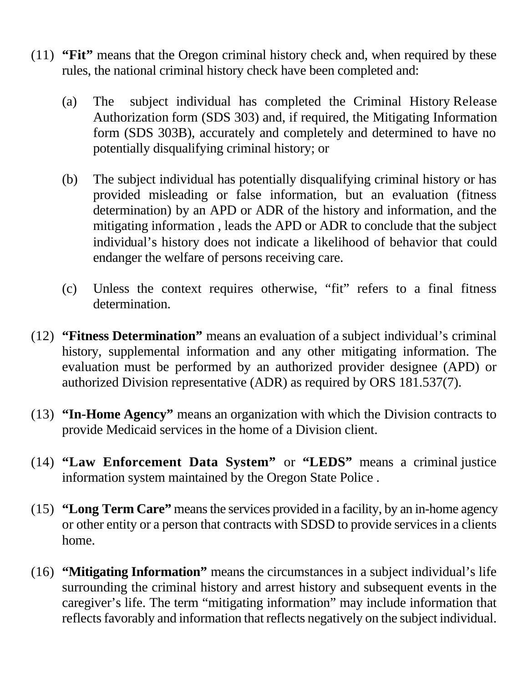- (11) **"Fit"** means that the Oregon criminal history check and, when required by these rules, the national criminal history check have been completed and:
	- (a) The subject individual has completed the Criminal History Release Authorization form (SDS 303) and, if required, the Mitigating Information form (SDS 303B), accurately and completely and determined to have no potentially disqualifying criminal history; or
	- (b) The subject individual has potentially disqualifying criminal history or has provided misleading or false information, but an evaluation (fitness determination) by an APD or ADR of the history and information, and the mitigating information , leads the APD or ADR to conclude that the subject individual's history does not indicate a likelihood of behavior that could endanger the welfare of persons receiving care.
	- (c) Unless the context requires otherwise, "fit" refers to a final fitness determination.
- (12) **"Fitness Determination"** means an evaluation of a subject individual's criminal history, supplemental information and any other mitigating information. The evaluation must be performed by an authorized provider designee (APD) or authorized Division representative (ADR) as required by ORS 181.537(7).
- (13) **"In-Home Agency"** means an organization with which the Division contracts to provide Medicaid services in the home of a Division client.
- (14) **"Law Enforcement Data System"** or **"LEDS"** means a criminal justice information system maintained by the Oregon State Police .
- (15) **"Long Term Care"** means the services provided in a facility, by an in-home agency or other entity or a person that contracts with SDSD to provide services in a clients home.
- (16) **"Mitigating Information"** means the circumstances in a subject individual's life surrounding the criminal history and arrest history and subsequent events in the caregiver's life. The term "mitigating information" may include information that reflects favorably and information that reflects negatively on the subject individual.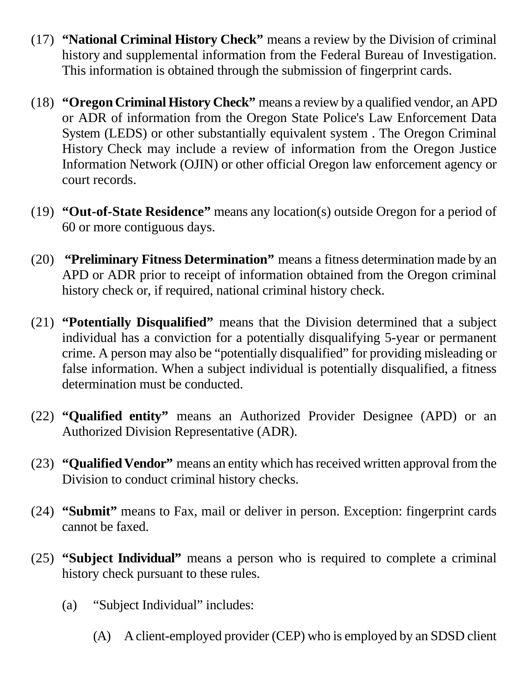- (17) **"National Criminal History Check"** means a review by the Division of criminal history and supplemental information from the Federal Bureau of Investigation. This information is obtained through the submission of fingerprint cards.
- (18) **"Oregon Criminal History Check"** means a review by a qualified vendor, an APD or ADR of information from the Oregon State Police's Law Enforcement Data System (LEDS) or other substantially equivalent system . The Oregon Criminal History Check may include a review of information from the Oregon Justice Information Network (OJIN) or other official Oregon law enforcement agency or court records.
- (19) **"Out-of-State Residence"** means any location(s) outside Oregon for a period of 60 or more contiguous days.
- (20) **"Preliminary Fitness Determination"** means a fitness determination made by an APD or ADR prior to receipt of information obtained from the Oregon criminal history check or, if required, national criminal history check.
- (21) **"Potentially Disqualified"** means that the Division determined that a subject individual has a conviction for a potentially disqualifying 5-year or permanent crime. A person may also be "potentially disqualified" for providing misleading or false information. When a subject individual is potentially disqualified, a fitness determination must be conducted.
- (22) **"Qualified entity"** means an Authorized Provider Designee (APD) or an Authorized Division Representative (ADR).
- (23) **"Qualified Vendor"** means an entity which has received written approval from the Division to conduct criminal history checks.
- (24) **"Submit"** means to Fax, mail or deliver in person. Exception: fingerprint cards cannot be faxed.
- (25) **"Subject Individual"** means a person who is required to complete a criminal history check pursuant to these rules.
	- (a) "Subject Individual" includes:
		- (A) A client-employed provider (CEP) who is employed by an SDSD client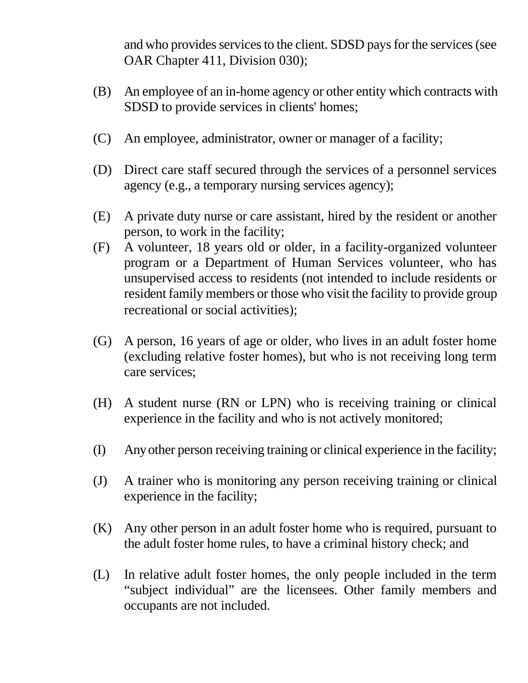and who provides services to the client. SDSD pays for the services (see OAR Chapter 411, Division 030);

- (B) An employee of an in-home agency or other entity which contracts with SDSD to provide services in clients' homes;
- (C) An employee, administrator, owner or manager of a facility;
- (D) Direct care staff secured through the services of a personnel services agency (e.g., a temporary nursing services agency);
- (E) A private duty nurse or care assistant, hired by the resident or another person, to work in the facility;
- (F) A volunteer, 18 years old or older, in a facility-organized volunteer program or a Department of Human Services volunteer, who has unsupervised access to residents (not intended to include residents or resident family members or those who visit the facility to provide group recreational or social activities);
- (G) A person, 16 years of age or older, who lives in an adult foster home (excluding relative foster homes), but who is not receiving long term care services;
- (H) A student nurse (RN or LPN) who is receiving training or clinical experience in the facility and who is not actively monitored;
- (I) Any other person receiving training or clinical experience in the facility;
- (J) A trainer who is monitoring any person receiving training or clinical experience in the facility;
- (K) Any other person in an adult foster home who is required, pursuant to the adult foster home rules, to have a criminal history check; and
- (L) In relative adult foster homes, the only people included in the term "subject individual" are the licensees. Other family members and occupants are not included.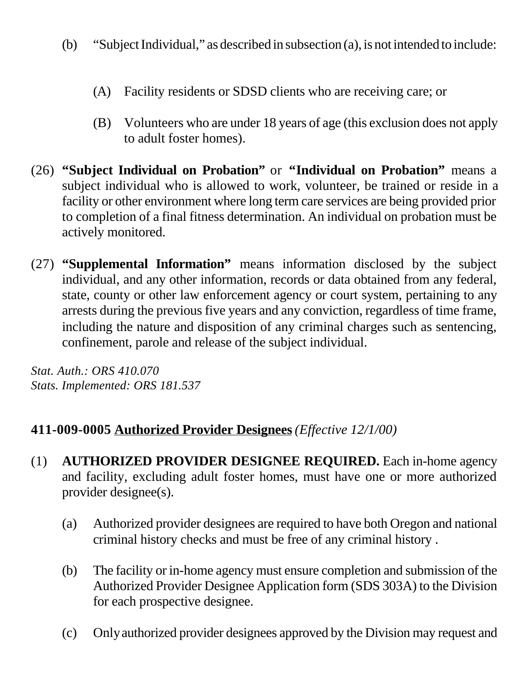- (b) "Subject Individual," as described in subsection (a), is not intended to include:
	- (A) Facility residents or SDSD clients who are receiving care; or
	- (B) Volunteers who are under 18 years of age (this exclusion does not apply to adult foster homes).
- (26) **"Subject Individual on Probation"** or **"Individual on Probation"** means a subject individual who is allowed to work, volunteer, be trained or reside in a facility or other environment where long term care services are being provided prior to completion of a final fitness determination. An individual on probation must be actively monitored.
- (27) **"Supplemental Information"** means information disclosed by the subject individual, and any other information, records or data obtained from any federal, state, county or other law enforcement agency or court system, pertaining to any arrests during the previous five years and any conviction, regardless of time frame, including the nature and disposition of any criminal charges such as sentencing, confinement, parole and release of the subject individual.

*Stat. Auth.: ORS 410.070 Stats. Implemented: ORS 181.537*

## **411-009-0005 Authorized Provider Designees***(Effective 12/1/00)*

- (1) **AUTHORIZED PROVIDER DESIGNEE REQUIRED.** Each in-home agency and facility, excluding adult foster homes, must have one or more authorized provider designee(s).
	- (a) Authorized provider designees are required to have both Oregon and national criminal history checks and must be free of any criminal history .
	- (b) The facility or in-home agency must ensure completion and submission of the Authorized Provider Designee Application form (SDS 303A) to the Division for each prospective designee.
	- (c) Only authorized provider designees approved by the Division may request and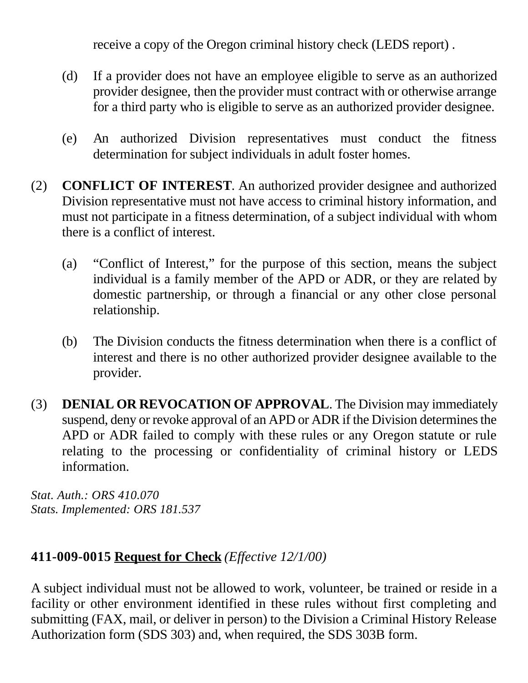receive a copy of the Oregon criminal history check (LEDS report) .

- (d) If a provider does not have an employee eligible to serve as an authorized provider designee, then the provider must contract with or otherwise arrange for a third party who is eligible to serve as an authorized provider designee.
- (e) An authorized Division representatives must conduct the fitness determination for subject individuals in adult foster homes.
- (2) **CONFLICT OF INTEREST**. An authorized provider designee and authorized Division representative must not have access to criminal history information, and must not participate in a fitness determination, of a subject individual with whom there is a conflict of interest.
	- (a) "Conflict of Interest," for the purpose of this section, means the subject individual is a family member of the APD or ADR, or they are related by domestic partnership, or through a financial or any other close personal relationship.
	- (b) The Division conducts the fitness determination when there is a conflict of interest and there is no other authorized provider designee available to the provider.
- (3) **DENIAL OR REVOCATION OF APPROVAL**. The Division may immediately suspend, deny or revoke approval of an APD or ADR if the Division determines the APD or ADR failed to comply with these rules or any Oregon statute or rule relating to the processing or confidentiality of criminal history or LEDS information.

*Stat. Auth.: ORS 410.070 Stats. Implemented: ORS 181.537*

## **411-009-0015 Request for Check** *(Effective 12/1/00)*

A subject individual must not be allowed to work, volunteer, be trained or reside in a facility or other environment identified in these rules without first completing and submitting (FAX, mail, or deliver in person) to the Division a Criminal History Release Authorization form (SDS 303) and, when required, the SDS 303B form.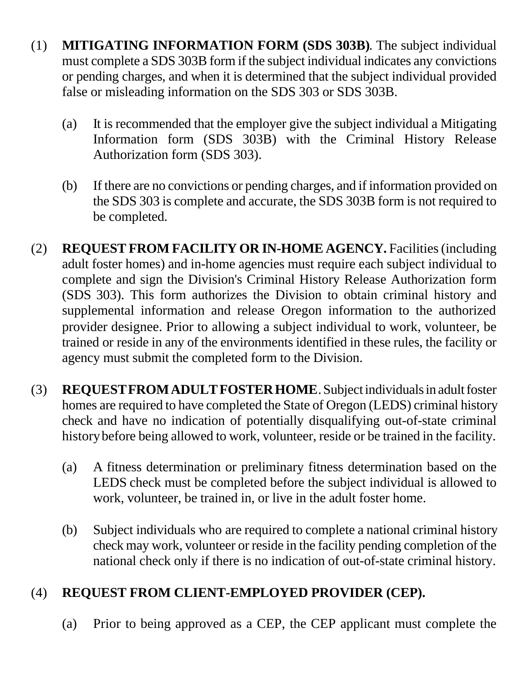- (1) **MITIGATING INFORMATION FORM (SDS 303B)**. The subject individual must complete a SDS 303B form if the subject individual indicates any convictions or pending charges, and when it is determined that the subject individual provided false or misleading information on the SDS 303 or SDS 303B.
	- (a) It is recommended that the employer give the subject individual a Mitigating Information form (SDS 303B) with the Criminal History Release Authorization form (SDS 303).
	- (b) If there are no convictions or pending charges, and if information provided on the SDS 303 is complete and accurate, the SDS 303B form is not required to be completed.
- (2) **REQUEST FROM FACILITY OR IN-HOME AGENCY.** Facilities (including adult foster homes) and in-home agencies must require each subject individual to complete and sign the Division's Criminal History Release Authorization form (SDS 303). This form authorizes the Division to obtain criminal history and supplemental information and release Oregon information to the authorized provider designee. Prior to allowing a subject individual to work, volunteer, be trained or reside in any of the environments identified in these rules, the facility or agency must submit the completed form to the Division.
- (3) **REQUEST FROM ADULT FOSTER HOME**. Subject individuals in adult foster homes are required to have completed the State of Oregon (LEDS) criminal history check and have no indication of potentially disqualifying out-of-state criminal history before being allowed to work, volunteer, reside or be trained in the facility.
	- (a) A fitness determination or preliminary fitness determination based on the LEDS check must be completed before the subject individual is allowed to work, volunteer, be trained in, or live in the adult foster home.
	- (b) Subject individuals who are required to complete a national criminal history check may work, volunteer or reside in the facility pending completion of the national check only if there is no indication of out-of-state criminal history.

# (4) **REQUEST FROM CLIENT-EMPLOYED PROVIDER (CEP).**

(a) Prior to being approved as a CEP, the CEP applicant must complete the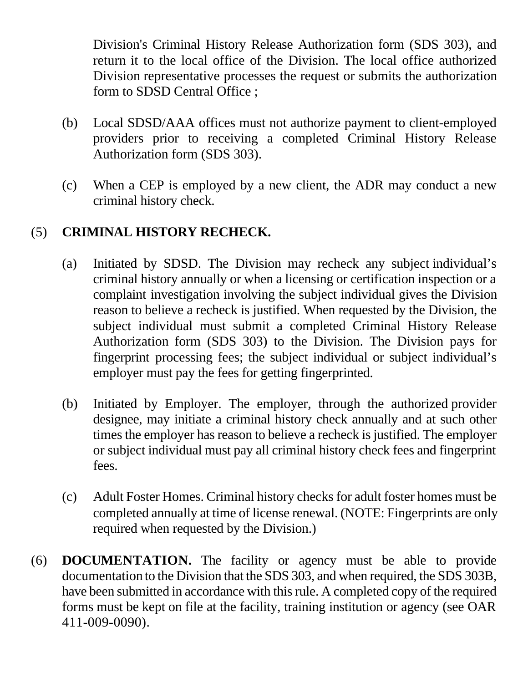Division's Criminal History Release Authorization form (SDS 303), and return it to the local office of the Division. The local office authorized Division representative processes the request or submits the authorization form to SDSD Central Office ;

- (b) Local SDSD/AAA offices must not authorize payment to client-employed providers prior to receiving a completed Criminal History Release Authorization form (SDS 303).
- (c) When a CEP is employed by a new client, the ADR may conduct a new criminal history check.

## (5) **CRIMINAL HISTORY RECHECK.**

- (a) Initiated by SDSD. The Division may recheck any subject individual's criminal history annually or when a licensing or certification inspection or a complaint investigation involving the subject individual gives the Division reason to believe a recheck is justified. When requested by the Division, the subject individual must submit a completed Criminal History Release Authorization form (SDS 303) to the Division. The Division pays for fingerprint processing fees; the subject individual or subject individual's employer must pay the fees for getting fingerprinted.
- (b) Initiated by Employer. The employer, through the authorized provider designee, may initiate a criminal history check annually and at such other times the employer has reason to believe a recheck is justified. The employer or subject individual must pay all criminal history check fees and fingerprint fees.
- (c) Adult Foster Homes. Criminal history checks for adult foster homes must be completed annually at time of license renewal. (NOTE: Fingerprints are only required when requested by the Division.)
- (6) **DOCUMENTATION.** The facility or agency must be able to provide documentation to the Division that the SDS 303, and when required, the SDS 303B, have been submitted in accordance with this rule. A completed copy of the required forms must be kept on file at the facility, training institution or agency (see OAR 411-009-0090).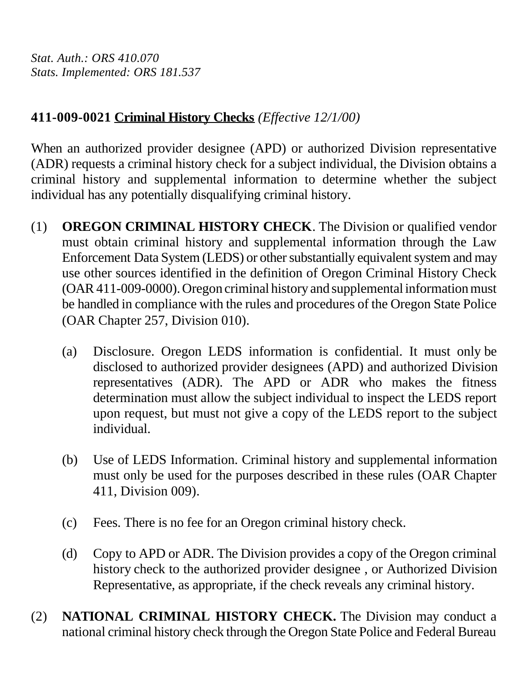*Stat. Auth.: ORS 410.070 Stats. Implemented: ORS 181.537*

## **411-009-0021 Criminal History Checks** *(Effective 12/1/00)*

When an authorized provider designee (APD) or authorized Division representative (ADR) requests a criminal history check for a subject individual, the Division obtains a criminal history and supplemental information to determine whether the subject individual has any potentially disqualifying criminal history.

- (1) **OREGON CRIMINAL HISTORY CHECK**. The Division or qualified vendor must obtain criminal history and supplemental information through the Law Enforcement Data System (LEDS) or other substantially equivalent system and may use other sources identified in the definition of Oregon Criminal History Check (OAR 411-009-0000). Oregon criminal history and supplemental information must be handled in compliance with the rules and procedures of the Oregon State Police (OAR Chapter 257, Division 010).
	- (a) Disclosure. Oregon LEDS information is confidential. It must only be disclosed to authorized provider designees (APD) and authorized Division representatives (ADR). The APD or ADR who makes the fitness determination must allow the subject individual to inspect the LEDS report upon request, but must not give a copy of the LEDS report to the subject individual.
	- (b) Use of LEDS Information. Criminal history and supplemental information must only be used for the purposes described in these rules (OAR Chapter 411, Division 009).
	- (c) Fees. There is no fee for an Oregon criminal history check.
	- (d) Copy to APD or ADR. The Division provides a copy of the Oregon criminal history check to the authorized provider designee , or Authorized Division Representative, as appropriate, if the check reveals any criminal history.
- (2) **NATIONAL CRIMINAL HISTORY CHECK.** The Division may conduct a national criminal history check through the Oregon State Police and Federal Bureau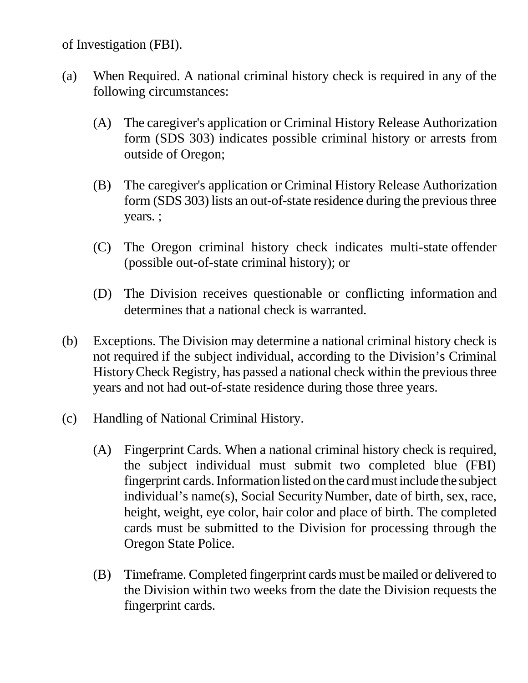of Investigation (FBI).

- (a) When Required. A national criminal history check is required in any of the following circumstances:
	- (A) The caregiver's application or Criminal History Release Authorization form (SDS 303) indicates possible criminal history or arrests from outside of Oregon;
	- (B) The caregiver's application or Criminal History Release Authorization form (SDS 303) lists an out-of-state residence during the previous three years. ;
	- (C) The Oregon criminal history check indicates multi-state offender (possible out-of-state criminal history); or
	- (D) The Division receives questionable or conflicting information and determines that a national check is warranted.
- (b) Exceptions. The Division may determine a national criminal history check is not required if the subject individual, according to the Division's Criminal History Check Registry, has passed a national check within the previous three years and not had out-of-state residence during those three years.
- (c) Handling of National Criminal History.
	- (A) Fingerprint Cards. When a national criminal history check is required, the subject individual must submit two completed blue (FBI) fingerprint cards. Information listed on the card must include the subject individual's name(s), Social Security Number, date of birth, sex, race, height, weight, eye color, hair color and place of birth. The completed cards must be submitted to the Division for processing through the Oregon State Police.
	- (B) Timeframe. Completed fingerprint cards must be mailed or delivered to the Division within two weeks from the date the Division requests the fingerprint cards.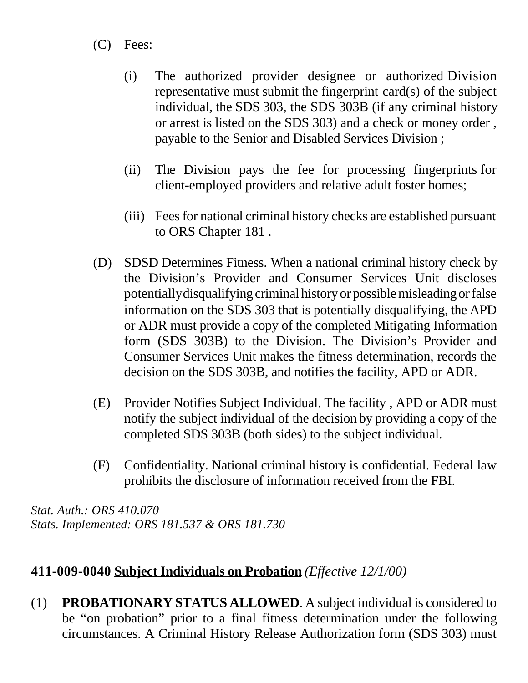- (C) Fees:
	- (i) The authorized provider designee or authorized Division representative must submit the fingerprint card(s) of the subject individual, the SDS 303, the SDS 303B (if any criminal history or arrest is listed on the SDS 303) and a check or money order , payable to the Senior and Disabled Services Division ;
	- (ii) The Division pays the fee for processing fingerprints for client-employed providers and relative adult foster homes;
	- (iii) Fees for national criminal history checks are established pursuant to ORS Chapter 181 .
- (D) SDSD Determines Fitness. When a national criminal history check by the Division's Provider and Consumer Services Unit discloses potentially disqualifying criminal history or possible misleading or false information on the SDS 303 that is potentially disqualifying, the APD or ADR must provide a copy of the completed Mitigating Information form (SDS 303B) to the Division. The Division's Provider and Consumer Services Unit makes the fitness determination, records the decision on the SDS 303B, and notifies the facility, APD or ADR.
- (E) Provider Notifies Subject Individual. The facility , APD or ADR must notify the subject individual of the decision by providing a copy of the completed SDS 303B (both sides) to the subject individual.
- (F) Confidentiality. National criminal history is confidential. Federal law prohibits the disclosure of information received from the FBI.

*Stat. Auth.: ORS 410.070 Stats. Implemented: ORS 181.537 & ORS 181.730*

#### **411-009-0040 Subject Individuals on Probation** *(Effective 12/1/00)*

(1) **PROBATIONARY STATUS ALLOWED**. A subject individual is considered to be "on probation" prior to a final fitness determination under the following circumstances. A Criminal History Release Authorization form (SDS 303) must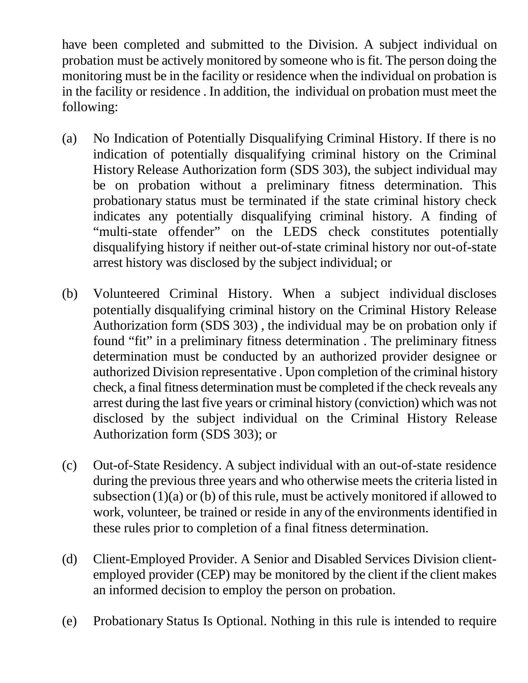have been completed and submitted to the Division. A subject individual on probation must be actively monitored by someone who is fit. The person doing the monitoring must be in the facility or residence when the individual on probation is in the facility or residence . In addition, the individual on probation must meet the following:

- (a) No Indication of Potentially Disqualifying Criminal History. If there is no indication of potentially disqualifying criminal history on the Criminal History Release Authorization form (SDS 303), the subject individual may be on probation without a preliminary fitness determination. This probationary status must be terminated if the state criminal history check indicates any potentially disqualifying criminal history. A finding of "multi-state offender" on the LEDS check constitutes potentially disqualifying history if neither out-of-state criminal history nor out-of-state arrest history was disclosed by the subject individual; or
- (b) Volunteered Criminal History. When a subject individual discloses potentially disqualifying criminal history on the Criminal History Release Authorization form (SDS 303) , the individual may be on probation only if found "fit" in a preliminary fitness determination . The preliminary fitness determination must be conducted by an authorized provider designee or authorized Division representative . Upon completion of the criminal history check, a final fitness determination must be completed if the check reveals any arrest during the last five years or criminal history (conviction) which was not disclosed by the subject individual on the Criminal History Release Authorization form (SDS 303); or
- (c) Out-of-State Residency. A subject individual with an out-of-state residence during the previous three years and who otherwise meets the criteria listed in subsection  $(1)(a)$  or  $(b)$  of this rule, must be actively monitored if allowed to work, volunteer, be trained or reside in any of the environments identified in these rules prior to completion of a final fitness determination.
- (d) Client-Employed Provider. A Senior and Disabled Services Division clientemployed provider (CEP) may be monitored by the client if the client makes an informed decision to employ the person on probation.
- (e) Probationary Status Is Optional. Nothing in this rule is intended to require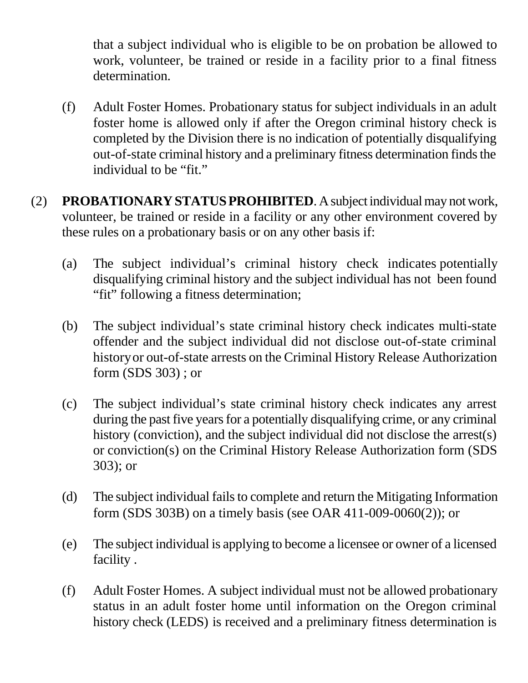that a subject individual who is eligible to be on probation be allowed to work, volunteer, be trained or reside in a facility prior to a final fitness determination.

- (f) Adult Foster Homes. Probationary status for subject individuals in an adult foster home is allowed only if after the Oregon criminal history check is completed by the Division there is no indication of potentially disqualifying out-of-state criminal history and a preliminary fitness determination finds the individual to be "fit."
- (2) **PROBATIONARY STATUS PROHIBITED**. A subject individual may not work, volunteer, be trained or reside in a facility or any other environment covered by these rules on a probationary basis or on any other basis if:
	- (a) The subject individual's criminal history check indicates potentially disqualifying criminal history and the subject individual has not been found "fit" following a fitness determination;
	- (b) The subject individual's state criminal history check indicates multi-state offender and the subject individual did not disclose out-of-state criminal history or out-of-state arrests on the Criminal History Release Authorization form (SDS 303) ; or
	- (c) The subject individual's state criminal history check indicates any arrest during the past five years for a potentially disqualifying crime, or any criminal history (conviction), and the subject individual did not disclose the arrest(s) or conviction(s) on the Criminal History Release Authorization form (SDS 303); or
	- (d) The subject individual fails to complete and return the Mitigating Information form (SDS 303B) on a timely basis (see OAR 411-009-0060(2)); or
	- (e) The subject individual is applying to become a licensee or owner of a licensed facility .
	- (f) Adult Foster Homes. A subject individual must not be allowed probationary status in an adult foster home until information on the Oregon criminal history check (LEDS) is received and a preliminary fitness determination is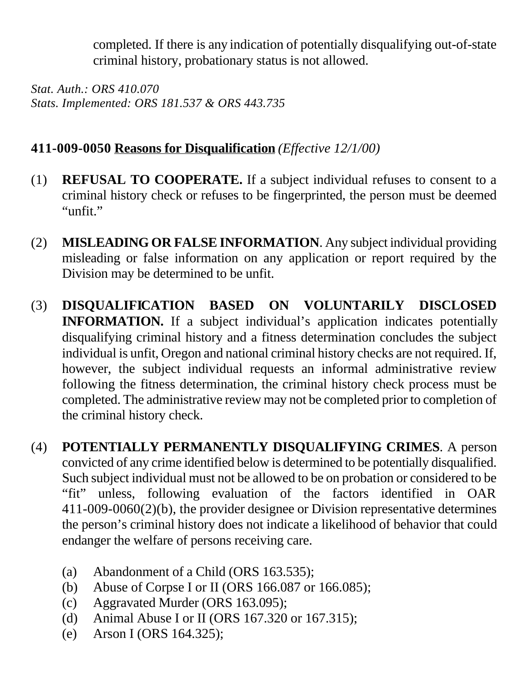completed. If there is any indication of potentially disqualifying out-of-state criminal history, probationary status is not allowed.

*Stat. Auth.: ORS 410.070 Stats. Implemented: ORS 181.537 & ORS 443.735*

## **411-009-0050 Reasons for Disqualification** *(Effective 12/1/00)*

- (1) **REFUSAL TO COOPERATE.** If a subject individual refuses to consent to a criminal history check or refuses to be fingerprinted, the person must be deemed "unfit."
- (2) **MISLEADING OR FALSE INFORMATION**. Any subject individual providing misleading or false information on any application or report required by the Division may be determined to be unfit.
- (3) **DISQUALIFICATION BASED ON VOLUNTARILY DISCLOSED INFORMATION.** If a subject individual's application indicates potentially disqualifying criminal history and a fitness determination concludes the subject individual is unfit, Oregon and national criminal history checks are not required. If, however, the subject individual requests an informal administrative review following the fitness determination, the criminal history check process must be completed. The administrative review may not be completed prior to completion of the criminal history check.
- (4) **POTENTIALLY PERMANENTLY DISQUALIFYING CRIMES**. A person convicted of any crime identified below is determined to be potentially disqualified. Such subject individual must not be allowed to be on probation or considered to be "fit" unless, following evaluation of the factors identified in OAR 411-009-0060(2)(b), the provider designee or Division representative determines the person's criminal history does not indicate a likelihood of behavior that could endanger the welfare of persons receiving care.
	- (a) Abandonment of a Child (ORS 163.535);
	- (b) Abuse of Corpse I or II (ORS 166.087 or 166.085);
	- (c) Aggravated Murder (ORS 163.095);
	- (d) Animal Abuse I or II (ORS 167.320 or 167.315);
	- (e) Arson I (ORS 164.325);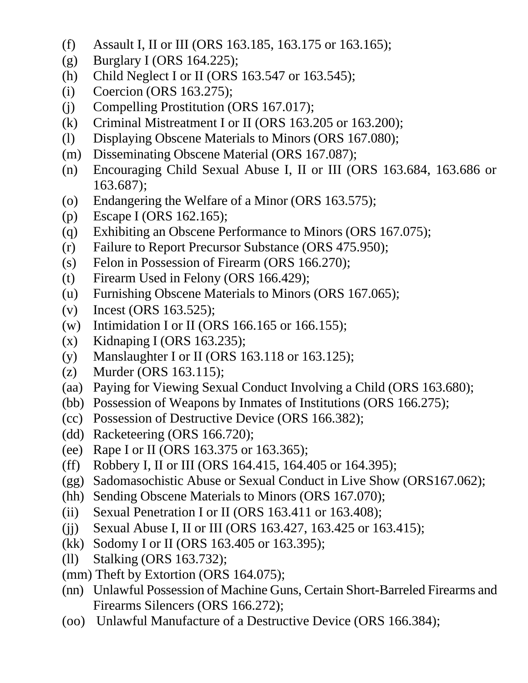- (f) Assault I, II or III (ORS 163.185, 163.175 or 163.165);
- (g) Burglary I (ORS 164.225);
- (h) Child Neglect I or II (ORS 163.547 or 163.545);
- (i) Coercion (ORS 163.275);
- (j) Compelling Prostitution (ORS 167.017);
- (k) Criminal Mistreatment I or II (ORS 163.205 or 163.200);
- (l) Displaying Obscene Materials to Minors (ORS 167.080);
- (m) Disseminating Obscene Material (ORS 167.087);
- (n) Encouraging Child Sexual Abuse I, II or III (ORS 163.684, 163.686 or 163.687);
- (o) Endangering the Welfare of a Minor (ORS 163.575);
- (p) Escape I (ORS 162.165);
- (q) Exhibiting an Obscene Performance to Minors (ORS 167.075);
- (r) Failure to Report Precursor Substance (ORS 475.950);
- (s) Felon in Possession of Firearm (ORS 166.270);
- (t) Firearm Used in Felony (ORS 166.429);
- (u) Furnishing Obscene Materials to Minors (ORS 167.065);
- (v) Incest (ORS 163.525);
- (w) Intimidation I or II (ORS 166.165 or 166.155);
- (x) Kidnaping I (ORS 163.235);
- (y) Manslaughter I or II (ORS 163.118 or 163.125);
- (z) Murder (ORS 163.115);
- (aa) Paying for Viewing Sexual Conduct Involving a Child (ORS 163.680);
- (bb) Possession of Weapons by Inmates of Institutions (ORS 166.275);
- (cc) Possession of Destructive Device (ORS 166.382);
- (dd) Racketeering (ORS 166.720);
- (ee) Rape I or II (ORS 163.375 or 163.365);
- (ff) Robbery I, II or III (ORS 164.415, 164.405 or 164.395);
- (gg) Sadomasochistic Abuse or Sexual Conduct in Live Show (ORS167.062);
- (hh) Sending Obscene Materials to Minors (ORS 167.070);
- (ii) Sexual Penetration I or II (ORS 163.411 or 163.408);
- (jj) Sexual Abuse I, II or III (ORS 163.427, 163.425 or 163.415);
- (kk) Sodomy I or II (ORS 163.405 or 163.395);
- (ll) Stalking (ORS 163.732);
- (mm) Theft by Extortion (ORS 164.075);
- (nn) Unlawful Possession of Machine Guns, Certain Short-Barreled Firearms and Firearms Silencers (ORS 166.272);
- (oo) Unlawful Manufacture of a Destructive Device (ORS 166.384);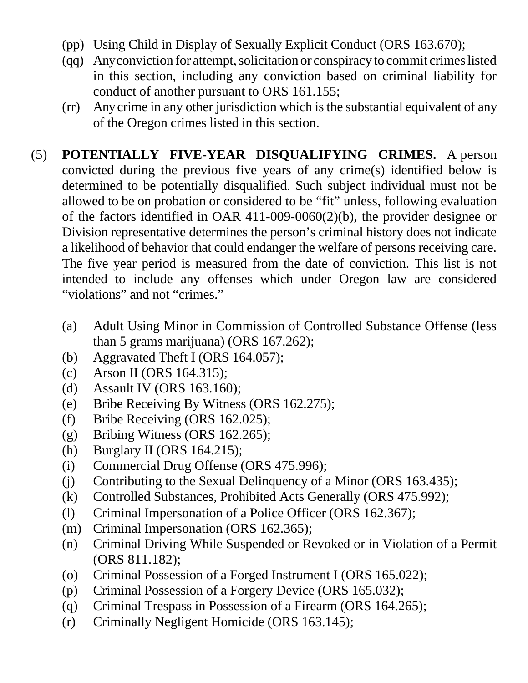- (pp) Using Child in Display of Sexually Explicit Conduct (ORS 163.670);
- (qq) Any conviction for attempt, solicitation or conspiracy to commit crimes listed in this section, including any conviction based on criminal liability for conduct of another pursuant to ORS 161.155;
- (rr) Any crime in any other jurisdiction which is the substantial equivalent of any of the Oregon crimes listed in this section.
- (5) **POTENTIALLY FIVE-YEAR DISQUALIFYING CRIMES.** A person convicted during the previous five years of any crime(s) identified below is determined to be potentially disqualified. Such subject individual must not be allowed to be on probation or considered to be "fit" unless, following evaluation of the factors identified in OAR 411-009-0060(2)(b), the provider designee or Division representative determines the person's criminal history does not indicate a likelihood of behavior that could endanger the welfare of persons receiving care. The five year period is measured from the date of conviction. This list is not intended to include any offenses which under Oregon law are considered "violations" and not "crimes."
	- (a) Adult Using Minor in Commission of Controlled Substance Offense (less than 5 grams marijuana) (ORS 167.262);
	- (b) Aggravated Theft I (ORS 164.057);
	- (c) Arson II (ORS 164.315);
	- (d) Assault IV (ORS 163.160);
	- (e) Bribe Receiving By Witness (ORS 162.275);
	- (f) Bribe Receiving (ORS 162.025);
	- (g) Bribing Witness (ORS 162.265);
	- (h) Burglary II (ORS 164.215);
	- (i) Commercial Drug Offense (ORS 475.996);
	- (j) Contributing to the Sexual Delinquency of a Minor (ORS 163.435);
	- (k) Controlled Substances, Prohibited Acts Generally (ORS 475.992);
	- (l) Criminal Impersonation of a Police Officer (ORS 162.367);
	- (m) Criminal Impersonation (ORS 162.365);
	- (n) Criminal Driving While Suspended or Revoked or in Violation of a Permit (ORS 811.182);
	- (o) Criminal Possession of a Forged Instrument I (ORS 165.022);
	- (p) Criminal Possession of a Forgery Device (ORS 165.032);
	- (q) Criminal Trespass in Possession of a Firearm (ORS 164.265);
	- (r) Criminally Negligent Homicide (ORS 163.145);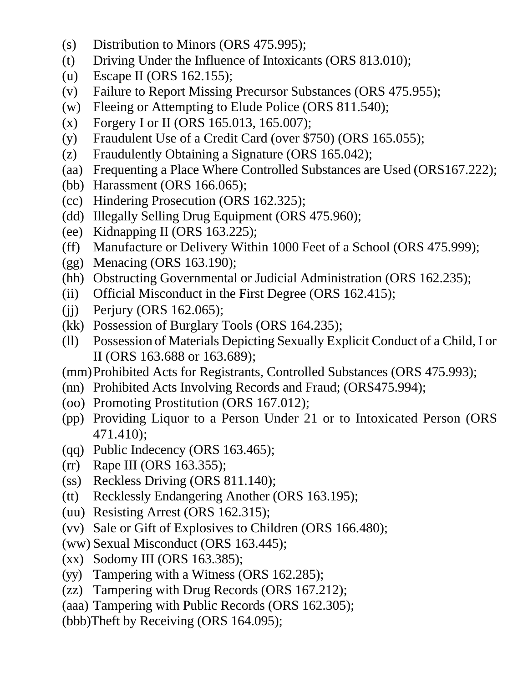- (s) Distribution to Minors (ORS 475.995);
- (t) Driving Under the Influence of Intoxicants (ORS 813.010);
- (u) Escape II (ORS 162.155);
- (v) Failure to Report Missing Precursor Substances (ORS 475.955);
- (w) Fleeing or Attempting to Elude Police (ORS 811.540);
- (x) Forgery I or II (ORS 165.013, 165.007);
- (y) Fraudulent Use of a Credit Card (over \$750) (ORS 165.055);
- (z) Fraudulently Obtaining a Signature (ORS 165.042);
- (aa) Frequenting a Place Where Controlled Substances are Used (ORS167.222);
- (bb) Harassment (ORS 166.065);
- (cc) Hindering Prosecution (ORS 162.325);
- (dd) Illegally Selling Drug Equipment (ORS 475.960);
- (ee) Kidnapping II (ORS 163.225);
- (ff) Manufacture or Delivery Within 1000 Feet of a School (ORS 475.999);
- (gg) Menacing (ORS 163.190);
- (hh) Obstructing Governmental or Judicial Administration (ORS 162.235);
- (ii) Official Misconduct in the First Degree (ORS 162.415);
- (ii) Perjury (ORS 162.065);
- (kk) Possession of Burglary Tools (ORS 164.235);
- (ll) Possession of Materials Depicting Sexually Explicit Conduct of a Child, I or II (ORS 163.688 or 163.689);

(mm)Prohibited Acts for Registrants, Controlled Substances (ORS 475.993);

- (nn) Prohibited Acts Involving Records and Fraud; (ORS475.994);
- (oo) Promoting Prostitution (ORS 167.012);
- (pp) Providing Liquor to a Person Under 21 or to Intoxicated Person (ORS 471.410);
- (qq) Public Indecency (ORS 163.465);
- (rr) Rape III (ORS 163.355);
- (ss) Reckless Driving (ORS 811.140);
- (tt) Recklessly Endangering Another (ORS 163.195);
- (uu) Resisting Arrest (ORS 162.315);
- (vv) Sale or Gift of Explosives to Children (ORS 166.480);
- (ww) Sexual Misconduct (ORS 163.445);
- (xx) Sodomy III (ORS 163.385);
- (yy) Tampering with a Witness (ORS 162.285);
- (zz) Tampering with Drug Records (ORS 167.212);
- (aaa) Tampering with Public Records (ORS 162.305);
- (bbb)Theft by Receiving (ORS 164.095);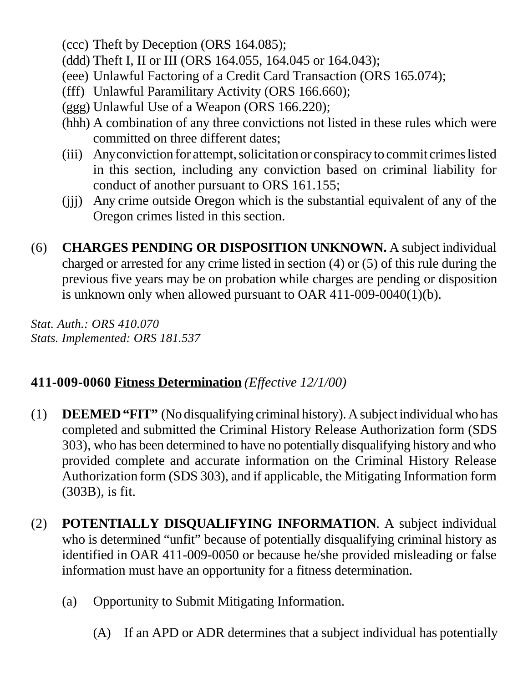- (ccc) Theft by Deception (ORS 164.085);
- (ddd) Theft I, II or III (ORS 164.055, 164.045 or 164.043);
- (eee) Unlawful Factoring of a Credit Card Transaction (ORS 165.074);
- (fff) Unlawful Paramilitary Activity (ORS 166.660);
- (ggg) Unlawful Use of a Weapon (ORS 166.220);
- (hhh) A combination of any three convictions not listed in these rules which were committed on three different dates;
- (iii) Any conviction for attempt, solicitation or conspiracy to commit crimes listed in this section, including any conviction based on criminal liability for conduct of another pursuant to ORS 161.155;
- (jjj) Any crime outside Oregon which is the substantial equivalent of any of the Oregon crimes listed in this section.
- (6) **CHARGES PENDING OR DISPOSITION UNKNOWN.** A subject individual charged or arrested for any crime listed in section (4) or (5) of this rule during the previous five years may be on probation while charges are pending or disposition is unknown only when allowed pursuant to OAR 411-009-0040(1)(b).

*Stat. Auth.: ORS 410.070 Stats. Implemented: ORS 181.537*

## **411-009-0060 Fitness Determination** *(Effective 12/1/00)*

- (1) **DEEMED "FIT"** (No disqualifying criminal history). A subject individual who has completed and submitted the Criminal History Release Authorization form (SDS 303), who has been determined to have no potentially disqualifying history and who provided complete and accurate information on the Criminal History Release Authorization form (SDS 303), and if applicable, the Mitigating Information form (303B), is fit.
- (2) **POTENTIALLY DISQUALIFYING INFORMATION**. A subject individual who is determined "unfit" because of potentially disqualifying criminal history as identified in OAR 411-009-0050 or because he/she provided misleading or false information must have an opportunity for a fitness determination.
	- (a) Opportunity to Submit Mitigating Information.
		- (A) If an APD or ADR determines that a subject individual has potentially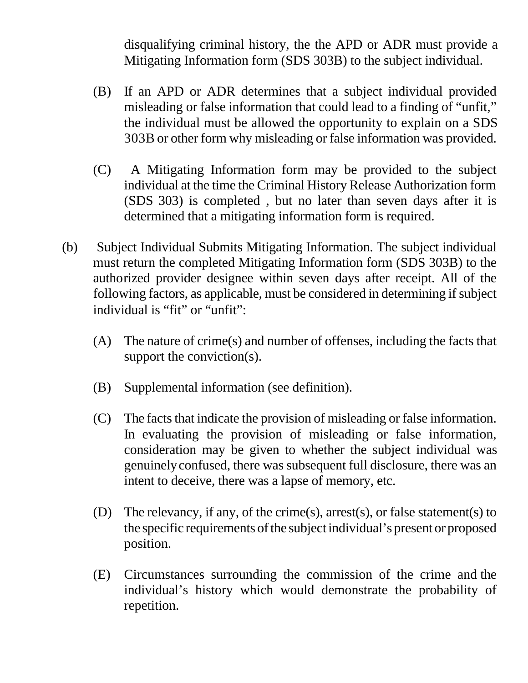disqualifying criminal history, the the APD or ADR must provide a Mitigating Information form (SDS 303B) to the subject individual.

- (B) If an APD or ADR determines that a subject individual provided misleading or false information that could lead to a finding of "unfit," the individual must be allowed the opportunity to explain on a SDS 303B or other form why misleading or false information was provided.
- (C) A Mitigating Information form may be provided to the subject individual at the time the Criminal History Release Authorization form (SDS 303) is completed , but no later than seven days after it is determined that a mitigating information form is required.
- (b) Subject Individual Submits Mitigating Information. The subject individual must return the completed Mitigating Information form (SDS 303B) to the authorized provider designee within seven days after receipt. All of the following factors, as applicable, must be considered in determining if subject individual is "fit" or "unfit":
	- (A) The nature of crime(s) and number of offenses, including the facts that support the conviction(s).
	- (B) Supplemental information (see definition).
	- (C) The facts that indicate the provision of misleading or false information. In evaluating the provision of misleading or false information, consideration may be given to whether the subject individual was genuinely confused, there was subsequent full disclosure, there was an intent to deceive, there was a lapse of memory, etc.
	- (D) The relevancy, if any, of the crime(s), arrest(s), or false statement(s) to the specific requirements of the subject individual's present or proposed position.
	- (E) Circumstances surrounding the commission of the crime and the individual's history which would demonstrate the probability of repetition.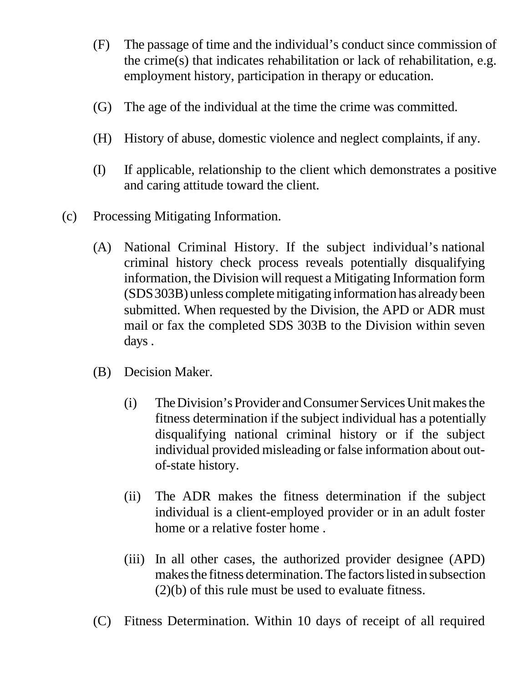- (F) The passage of time and the individual's conduct since commission of the crime(s) that indicates rehabilitation or lack of rehabilitation, e.g. employment history, participation in therapy or education.
- (G) The age of the individual at the time the crime was committed.
- (H) History of abuse, domestic violence and neglect complaints, if any.
- (I) If applicable, relationship to the client which demonstrates a positive and caring attitude toward the client.
- (c) Processing Mitigating Information.
	- (A) National Criminal History. If the subject individual's national criminal history check process reveals potentially disqualifying information, the Division will request a Mitigating Information form (SDS 303B) unless complete mitigating information has already been submitted. When requested by the Division, the APD or ADR must mail or fax the completed SDS 303B to the Division within seven days .
	- (B) Decision Maker.
		- (i) The Division's Provider and Consumer Services Unit makes the fitness determination if the subject individual has a potentially disqualifying national criminal history or if the subject individual provided misleading or false information about outof-state history.
		- (ii) The ADR makes the fitness determination if the subject individual is a client-employed provider or in an adult foster home or a relative foster home .
		- (iii) In all other cases, the authorized provider designee (APD) makes the fitness determination. The factors listed in subsection (2)(b) of this rule must be used to evaluate fitness.
	- (C) Fitness Determination. Within 10 days of receipt of all required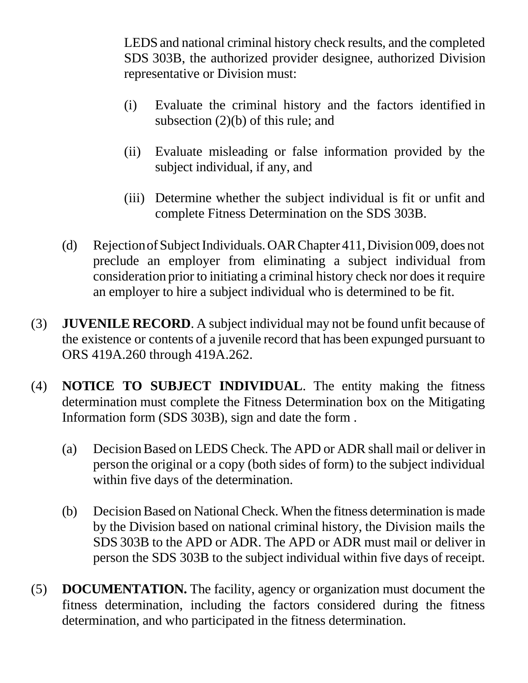LEDS and national criminal history check results, and the completed SDS 303B, the authorized provider designee, authorized Division representative or Division must:

- (i) Evaluate the criminal history and the factors identified in subsection (2)(b) of this rule; and
- (ii) Evaluate misleading or false information provided by the subject individual, if any, and
- (iii) Determine whether the subject individual is fit or unfit and complete Fitness Determination on the SDS 303B.
- (d) Rejection of Subject Individuals. OAR Chapter 411, Division 009, does not preclude an employer from eliminating a subject individual from consideration prior to initiating a criminal history check nor does it require an employer to hire a subject individual who is determined to be fit.
- (3) **JUVENILE RECORD**. A subject individual may not be found unfit because of the existence or contents of a juvenile record that has been expunged pursuant to ORS 419A.260 through 419A.262.
- (4) **NOTICE TO SUBJECT INDIVIDUAL**. The entity making the fitness determination must complete the Fitness Determination box on the Mitigating Information form (SDS 303B), sign and date the form .
	- (a) Decision Based on LEDS Check. The APD or ADR shall mail or deliver in person the original or a copy (both sides of form) to the subject individual within five days of the determination.
	- (b) Decision Based on National Check. When the fitness determination is made by the Division based on national criminal history, the Division mails the SDS 303B to the APD or ADR. The APD or ADR must mail or deliver in person the SDS 303B to the subject individual within five days of receipt.
- (5) **DOCUMENTATION.** The facility, agency or organization must document the fitness determination, including the factors considered during the fitness determination, and who participated in the fitness determination.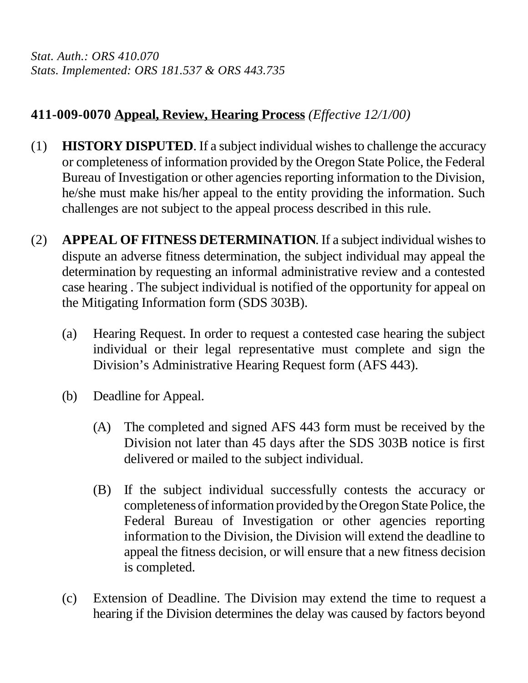*Stat. Auth.: ORS 410.070 Stats. Implemented: ORS 181.537 & ORS 443.735*

## **411-009-0070 Appeal, Review, Hearing Process** *(Effective 12/1/00)*

- (1) **HISTORY DISPUTED**. If a subject individual wishes to challenge the accuracy or completeness of information provided by the Oregon State Police, the Federal Bureau of Investigation or other agencies reporting information to the Division, he/she must make his/her appeal to the entity providing the information. Such challenges are not subject to the appeal process described in this rule.
- (2) **APPEAL OF FITNESS DETERMINATION**. If a subject individual wishes to dispute an adverse fitness determination, the subject individual may appeal the determination by requesting an informal administrative review and a contested case hearing . The subject individual is notified of the opportunity for appeal on the Mitigating Information form (SDS 303B).
	- (a) Hearing Request. In order to request a contested case hearing the subject individual or their legal representative must complete and sign the Division's Administrative Hearing Request form (AFS 443).
	- (b) Deadline for Appeal.
		- (A) The completed and signed AFS 443 form must be received by the Division not later than 45 days after the SDS 303B notice is first delivered or mailed to the subject individual.
		- (B) If the subject individual successfully contests the accuracy or completeness of information provided by the Oregon State Police, the Federal Bureau of Investigation or other agencies reporting information to the Division, the Division will extend the deadline to appeal the fitness decision, or will ensure that a new fitness decision is completed.
	- (c) Extension of Deadline. The Division may extend the time to request a hearing if the Division determines the delay was caused by factors beyond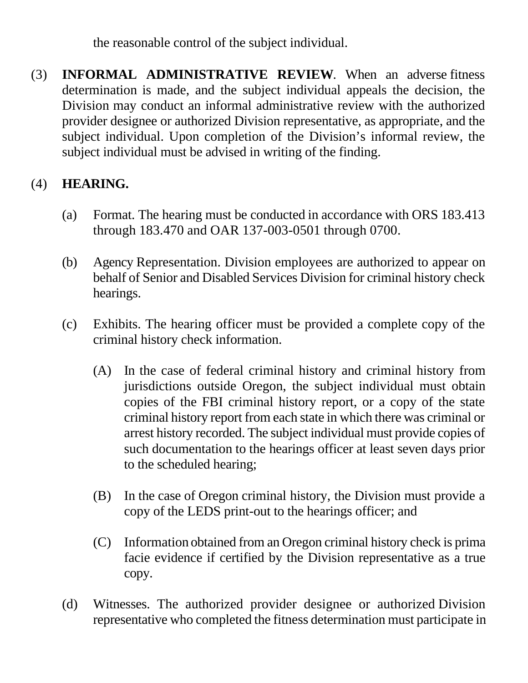the reasonable control of the subject individual.

(3) **INFORMAL ADMINISTRATIVE REVIEW**. When an adverse fitness determination is made, and the subject individual appeals the decision, the Division may conduct an informal administrative review with the authorized provider designee or authorized Division representative, as appropriate, and the subject individual. Upon completion of the Division's informal review, the subject individual must be advised in writing of the finding.

## (4) **HEARING.**

- (a) Format. The hearing must be conducted in accordance with ORS 183.413 through 183.470 and OAR 137-003-0501 through 0700.
- (b) Agency Representation. Division employees are authorized to appear on behalf of Senior and Disabled Services Division for criminal history check hearings.
- (c) Exhibits. The hearing officer must be provided a complete copy of the criminal history check information.
	- (A) In the case of federal criminal history and criminal history from jurisdictions outside Oregon, the subject individual must obtain copies of the FBI criminal history report, or a copy of the state criminal history report from each state in which there was criminal or arrest history recorded. The subject individual must provide copies of such documentation to the hearings officer at least seven days prior to the scheduled hearing;
	- (B) In the case of Oregon criminal history, the Division must provide a copy of the LEDS print-out to the hearings officer; and
	- (C) Information obtained from an Oregon criminal history check is prima facie evidence if certified by the Division representative as a true copy.
- (d) Witnesses. The authorized provider designee or authorized Division representative who completed the fitness determination must participate in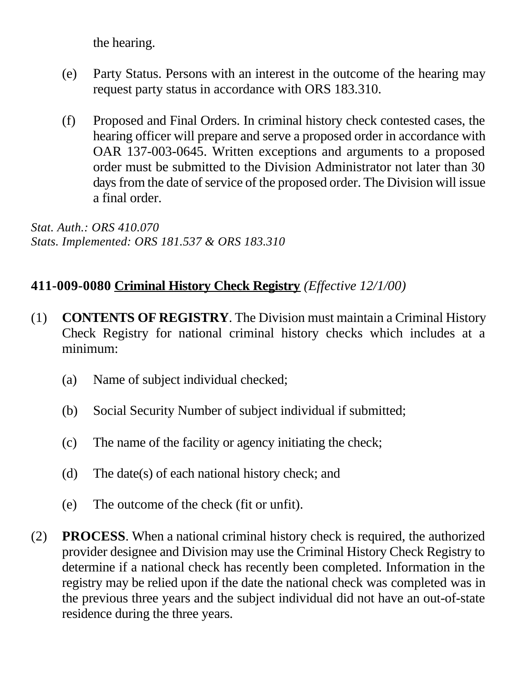the hearing.

- (e) Party Status. Persons with an interest in the outcome of the hearing may request party status in accordance with ORS 183.310.
- (f) Proposed and Final Orders. In criminal history check contested cases, the hearing officer will prepare and serve a proposed order in accordance with OAR 137-003-0645. Written exceptions and arguments to a proposed order must be submitted to the Division Administrator not later than 30 days from the date of service of the proposed order. The Division will issue a final order.

*Stat. Auth.: ORS 410.070 Stats. Implemented: ORS 181.537 & ORS 183.310*

### **411-009-0080 Criminal History Check Registry** *(Effective 12/1/00)*

- (1) **CONTENTS OF REGISTRY**. The Division must maintain a Criminal History Check Registry for national criminal history checks which includes at a minimum:
	- (a) Name of subject individual checked;
	- (b) Social Security Number of subject individual if submitted;
	- (c) The name of the facility or agency initiating the check;
	- (d) The date(s) of each national history check; and
	- (e) The outcome of the check (fit or unfit).
- (2) **PROCESS**. When a national criminal history check is required, the authorized provider designee and Division may use the Criminal History Check Registry to determine if a national check has recently been completed. Information in the registry may be relied upon if the date the national check was completed was in the previous three years and the subject individual did not have an out-of-state residence during the three years.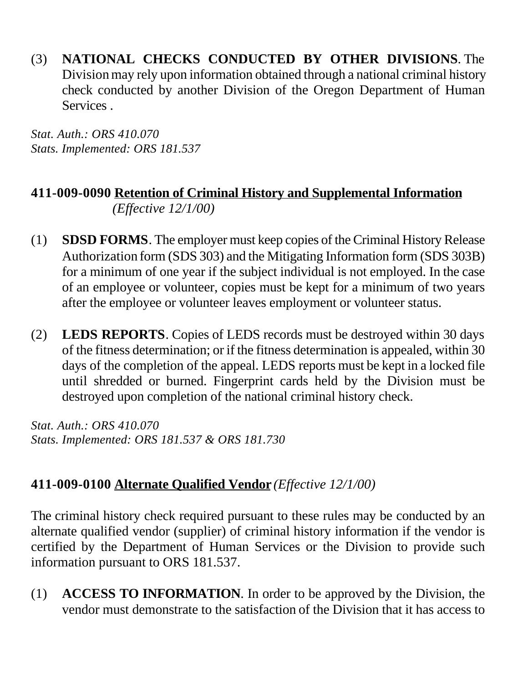(3) **NATIONAL CHECKS CONDUCTED BY OTHER DIVISIONS**. The Division may rely upon information obtained through a national criminal history check conducted by another Division of the Oregon Department of Human Services .

*Stat. Auth.: ORS 410.070 Stats. Implemented: ORS 181.537*

## **411-009-0090 Retention of Criminal History and Supplemental Information** *(Effective 12/1/00)*

- (1) **SDSD FORMS**. The employer must keep copies of the Criminal History Release Authorization form (SDS 303) and the Mitigating Information form (SDS 303B) for a minimum of one year if the subject individual is not employed. In the case of an employee or volunteer, copies must be kept for a minimum of two years after the employee or volunteer leaves employment or volunteer status.
- (2) **LEDS REPORTS**. Copies of LEDS records must be destroyed within 30 days of the fitness determination; or if the fitness determination is appealed, within 30 days of the completion of the appeal. LEDS reports must be kept in a locked file until shredded or burned. Fingerprint cards held by the Division must be destroyed upon completion of the national criminal history check.

*Stat. Auth.: ORS 410.070 Stats. Implemented: ORS 181.537 & ORS 181.730*

## **411-009-0100 Alternate Qualified Vendor** *(Effective 12/1/00)*

The criminal history check required pursuant to these rules may be conducted by an alternate qualified vendor (supplier) of criminal history information if the vendor is certified by the Department of Human Services or the Division to provide such information pursuant to ORS 181.537.

(1) **ACCESS TO INFORMATION**. In order to be approved by the Division, the vendor must demonstrate to the satisfaction of the Division that it has access to